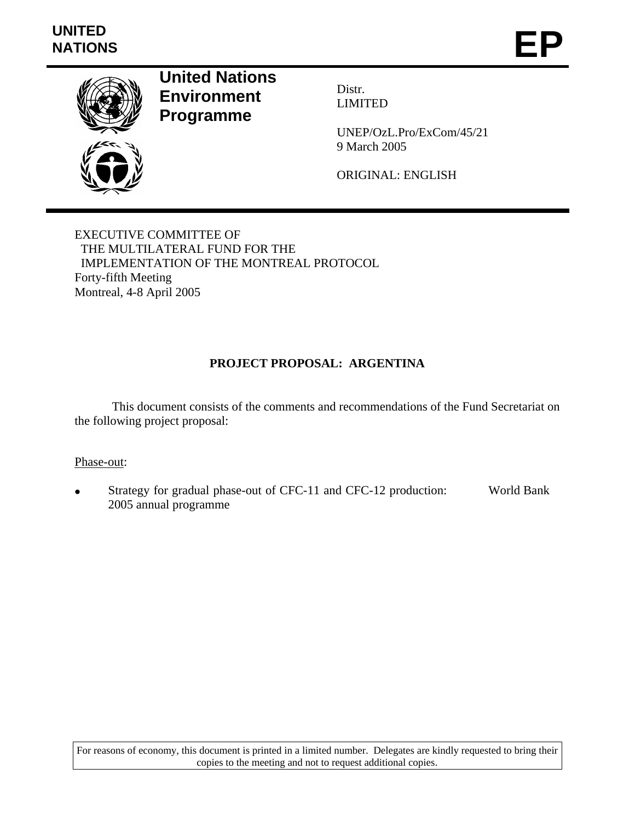

**United Nations Environment Programme** 

Distr. LIMITED

UNEP/OzL.Pro/ExCom/45/21 9 March 2005

ORIGINAL: ENGLISH

EXECUTIVE COMMITTEE OF THE MULTILATERAL FUND FOR THE IMPLEMENTATION OF THE MONTREAL PROTOCOL Forty-fifth Meeting Montreal, 4-8 April 2005

# **PROJECT PROPOSAL: ARGENTINA**

This document consists of the comments and recommendations of the Fund Secretariat on the following project proposal:

### Phase-out:

Strategy for gradual phase-out of CFC-11 and CFC-12 production: 2005 annual programme World Bank

For reasons of economy, this document is printed in a limited number. Delegates are kindly requested to bring their copies to the meeting and not to request additional copies.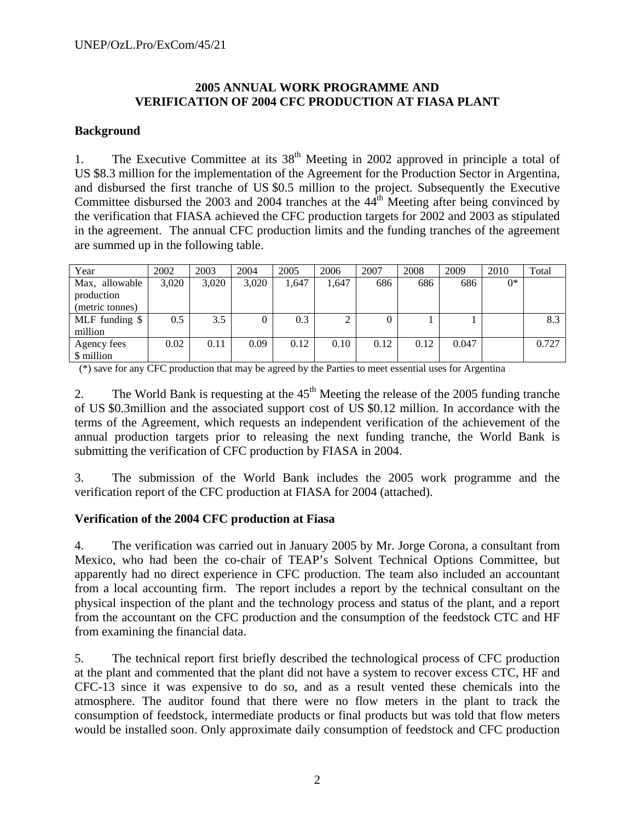### **2005 ANNUAL WORK PROGRAMME AND VERIFICATION OF 2004 CFC PRODUCTION AT FIASA PLANT**

### **Background**

1. The Executive Committee at its  $38<sup>th</sup>$  Meeting in 2002 approved in principle a total of US \$8.3 million for the implementation of the Agreement for the Production Sector in Argentina, and disbursed the first tranche of US \$0.5 million to the project. Subsequently the Executive Committee disbursed the 2003 and 2004 tranches at the 44<sup>th</sup> Meeting after being convinced by the verification that FIASA achieved the CFC production targets for 2002 and 2003 as stipulated in the agreement. The annual CFC production limits and the funding tranches of the agreement are summed up in the following table.

| Year            | 2002  | 2003  | 2004  | 2005  | 2006  | 2007 | 2008 | 2009  | 2010  | Total |
|-----------------|-------|-------|-------|-------|-------|------|------|-------|-------|-------|
| Max, allowable  | 3,020 | 3,020 | 3,020 | 1,647 | 1,647 | 686  | 686  | 686   | $0^*$ |       |
| production      |       |       |       |       |       |      |      |       |       |       |
| (metric tonnes) |       |       |       |       |       |      |      |       |       |       |
| MLF funding \$  | 0.5   | 3.5   |       | 0.3   |       | 0    |      |       |       | 8.3   |
| million         |       |       |       |       |       |      |      |       |       |       |
| Agency fees     | 0.02  | 0.11  | 0.09  | 0.12  | 0.10  | 0.12 | 0.12 | 0.047 |       | 0.727 |
| \$ million      |       |       |       |       |       |      |      |       |       |       |

(\*) save for any CFC production that may be agreed by the Parties to meet essential uses for Argentina

2. The World Bank is requesting at the  $45<sup>th</sup>$  Meeting the release of the 2005 funding tranche of US \$0.3million and the associated support cost of US \$0.12 million. In accordance with the terms of the Agreement, which requests an independent verification of the achievement of the annual production targets prior to releasing the next funding tranche, the World Bank is submitting the verification of CFC production by FIASA in 2004.

3. The submission of the World Bank includes the 2005 work programme and the verification report of the CFC production at FIASA for 2004 (attached).

### **Verification of the 2004 CFC production at Fiasa**

4. The verification was carried out in January 2005 by Mr. Jorge Corona, a consultant from Mexico, who had been the co-chair of TEAP's Solvent Technical Options Committee, but apparently had no direct experience in CFC production. The team also included an accountant from a local accounting firm. The report includes a report by the technical consultant on the physical inspection of the plant and the technology process and status of the plant, and a report from the accountant on the CFC production and the consumption of the feedstock CTC and HF from examining the financial data.

5. The technical report first briefly described the technological process of CFC production at the plant and commented that the plant did not have a system to recover excess CTC, HF and CFC-13 since it was expensive to do so, and as a result vented these chemicals into the atmosphere. The auditor found that there were no flow meters in the plant to track the consumption of feedstock, intermediate products or final products but was told that flow meters would be installed soon. Only approximate daily consumption of feedstock and CFC production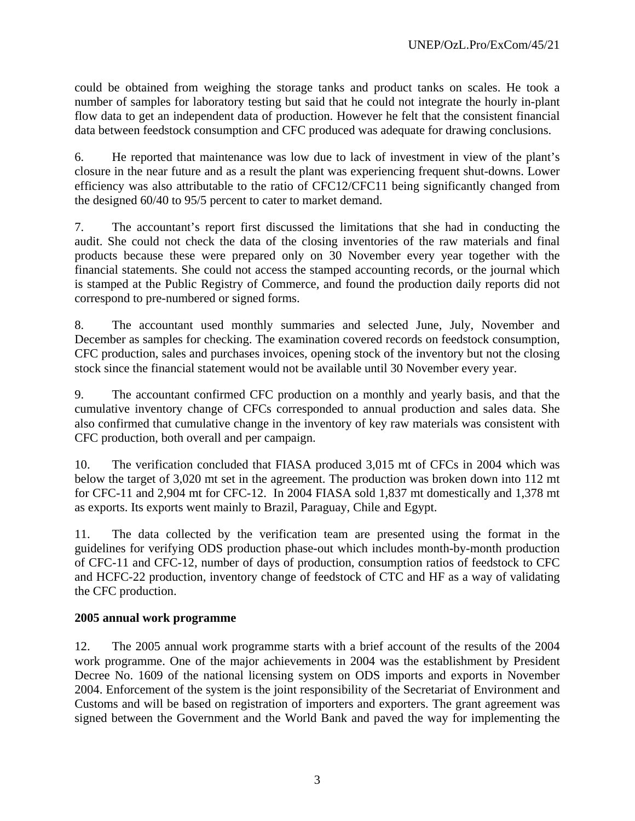could be obtained from weighing the storage tanks and product tanks on scales. He took a number of samples for laboratory testing but said that he could not integrate the hourly in-plant flow data to get an independent data of production. However he felt that the consistent financial data between feedstock consumption and CFC produced was adequate for drawing conclusions.

6. He reported that maintenance was low due to lack of investment in view of the plant's closure in the near future and as a result the plant was experiencing frequent shut-downs. Lower efficiency was also attributable to the ratio of CFC12/CFC11 being significantly changed from the designed 60/40 to 95/5 percent to cater to market demand.

7. The accountant's report first discussed the limitations that she had in conducting the audit. She could not check the data of the closing inventories of the raw materials and final products because these were prepared only on 30 November every year together with the financial statements. She could not access the stamped accounting records, or the journal which is stamped at the Public Registry of Commerce, and found the production daily reports did not correspond to pre-numbered or signed forms.

8. The accountant used monthly summaries and selected June, July, November and December as samples for checking. The examination covered records on feedstock consumption, CFC production, sales and purchases invoices, opening stock of the inventory but not the closing stock since the financial statement would not be available until 30 November every year.

9. The accountant confirmed CFC production on a monthly and yearly basis, and that the cumulative inventory change of CFCs corresponded to annual production and sales data. She also confirmed that cumulative change in the inventory of key raw materials was consistent with CFC production, both overall and per campaign.

10. The verification concluded that FIASA produced 3,015 mt of CFCs in 2004 which was below the target of 3,020 mt set in the agreement. The production was broken down into 112 mt for CFC-11 and 2,904 mt for CFC-12. In 2004 FIASA sold 1,837 mt domestically and 1,378 mt as exports. Its exports went mainly to Brazil, Paraguay, Chile and Egypt.

11. The data collected by the verification team are presented using the format in the guidelines for verifying ODS production phase-out which includes month-by-month production of CFC-11 and CFC-12, number of days of production, consumption ratios of feedstock to CFC and HCFC-22 production, inventory change of feedstock of CTC and HF as a way of validating the CFC production.

## **2005 annual work programme**

12. The 2005 annual work programme starts with a brief account of the results of the 2004 work programme. One of the major achievements in 2004 was the establishment by President Decree No. 1609 of the national licensing system on ODS imports and exports in November 2004. Enforcement of the system is the joint responsibility of the Secretariat of Environment and Customs and will be based on registration of importers and exporters. The grant agreement was signed between the Government and the World Bank and paved the way for implementing the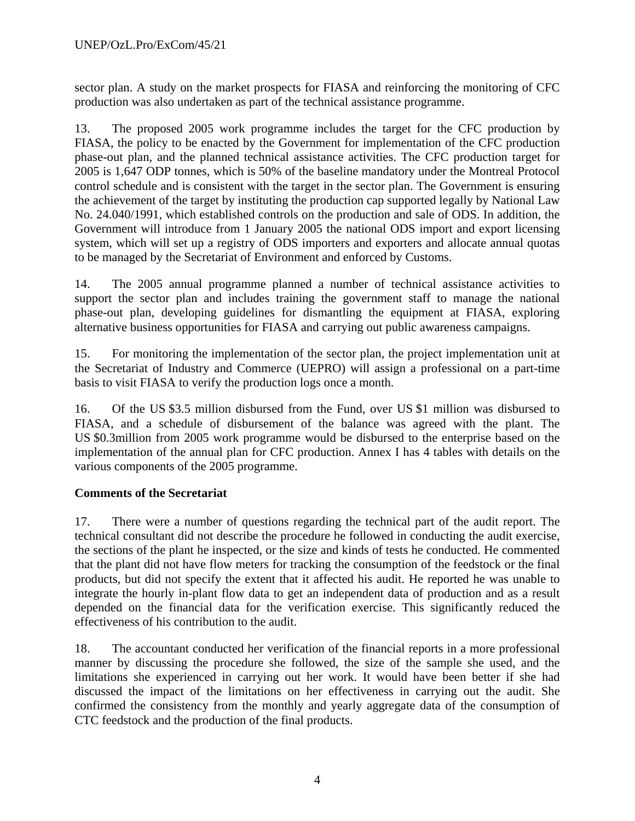sector plan. A study on the market prospects for FIASA and reinforcing the monitoring of CFC production was also undertaken as part of the technical assistance programme.

13. The proposed 2005 work programme includes the target for the CFC production by FIASA, the policy to be enacted by the Government for implementation of the CFC production phase-out plan, and the planned technical assistance activities. The CFC production target for 2005 is 1,647 ODP tonnes, which is 50% of the baseline mandatory under the Montreal Protocol control schedule and is consistent with the target in the sector plan. The Government is ensuring the achievement of the target by instituting the production cap supported legally by National Law No. 24.040/1991, which established controls on the production and sale of ODS. In addition, the Government will introduce from 1 January 2005 the national ODS import and export licensing system, which will set up a registry of ODS importers and exporters and allocate annual quotas to be managed by the Secretariat of Environment and enforced by Customs.

14. The 2005 annual programme planned a number of technical assistance activities to support the sector plan and includes training the government staff to manage the national phase-out plan, developing guidelines for dismantling the equipment at FIASA, exploring alternative business opportunities for FIASA and carrying out public awareness campaigns.

15. For monitoring the implementation of the sector plan, the project implementation unit at the Secretariat of Industry and Commerce (UEPRO) will assign a professional on a part-time basis to visit FIASA to verify the production logs once a month.

16. Of the US \$3.5 million disbursed from the Fund, over US \$1 million was disbursed to FIASA, and a schedule of disbursement of the balance was agreed with the plant. The US \$0.3million from 2005 work programme would be disbursed to the enterprise based on the implementation of the annual plan for CFC production. Annex I has 4 tables with details on the various components of the 2005 programme.

# **Comments of the Secretariat**

17. There were a number of questions regarding the technical part of the audit report. The technical consultant did not describe the procedure he followed in conducting the audit exercise, the sections of the plant he inspected, or the size and kinds of tests he conducted. He commented that the plant did not have flow meters for tracking the consumption of the feedstock or the final products, but did not specify the extent that it affected his audit. He reported he was unable to integrate the hourly in-plant flow data to get an independent data of production and as a result depended on the financial data for the verification exercise. This significantly reduced the effectiveness of his contribution to the audit.

18. The accountant conducted her verification of the financial reports in a more professional manner by discussing the procedure she followed, the size of the sample she used, and the limitations she experienced in carrying out her work. It would have been better if she had discussed the impact of the limitations on her effectiveness in carrying out the audit. She confirmed the consistency from the monthly and yearly aggregate data of the consumption of CTC feedstock and the production of the final products.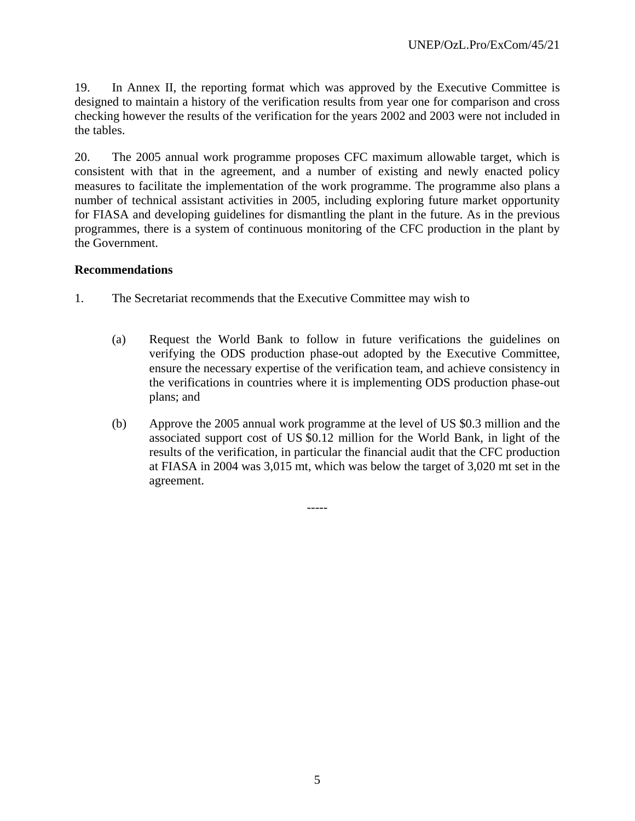19. In Annex II, the reporting format which was approved by the Executive Committee is designed to maintain a history of the verification results from year one for comparison and cross checking however the results of the verification for the years 2002 and 2003 were not included in the tables.

20. The 2005 annual work programme proposes CFC maximum allowable target, which is consistent with that in the agreement, and a number of existing and newly enacted policy measures to facilitate the implementation of the work programme. The programme also plans a number of technical assistant activities in 2005, including exploring future market opportunity for FIASA and developing guidelines for dismantling the plant in the future. As in the previous programmes, there is a system of continuous monitoring of the CFC production in the plant by the Government.

### **Recommendations**

- 1. The Secretariat recommends that the Executive Committee may wish to
	- (a) Request the World Bank to follow in future verifications the guidelines on verifying the ODS production phase-out adopted by the Executive Committee, ensure the necessary expertise of the verification team, and achieve consistency in the verifications in countries where it is implementing ODS production phase-out plans; and
	- (b) Approve the 2005 annual work programme at the level of US \$0.3 million and the associated support cost of US \$0.12 million for the World Bank, in light of the results of the verification, in particular the financial audit that the CFC production at FIASA in 2004 was 3,015 mt, which was below the target of 3,020 mt set in the agreement.

-----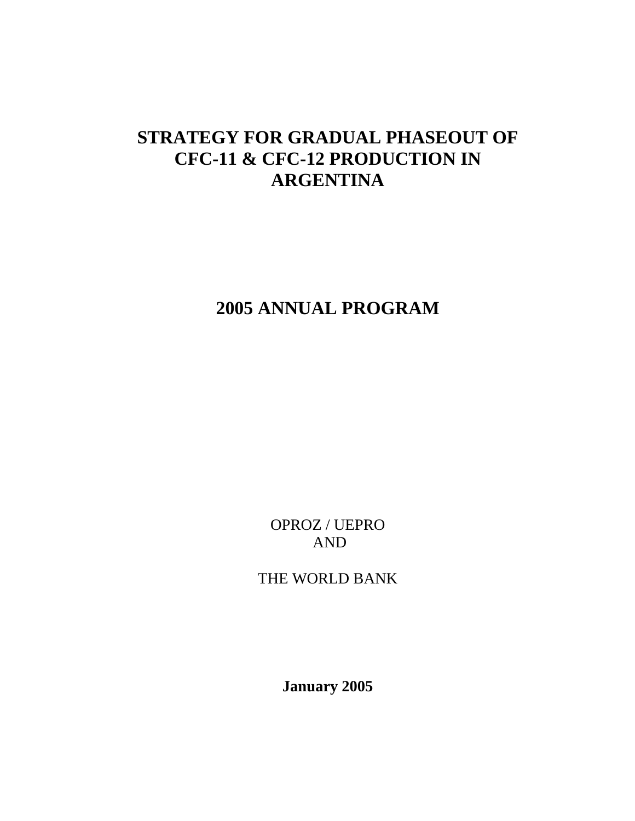# **STRATEGY FOR GRADUAL PHASEOUT OF CFC-11 & CFC-12 PRODUCTION IN ARGENTINA**

# **2005 ANNUAL PROGRAM**

OPROZ / UEPRO AND

THE WORLD BANK

**January 2005**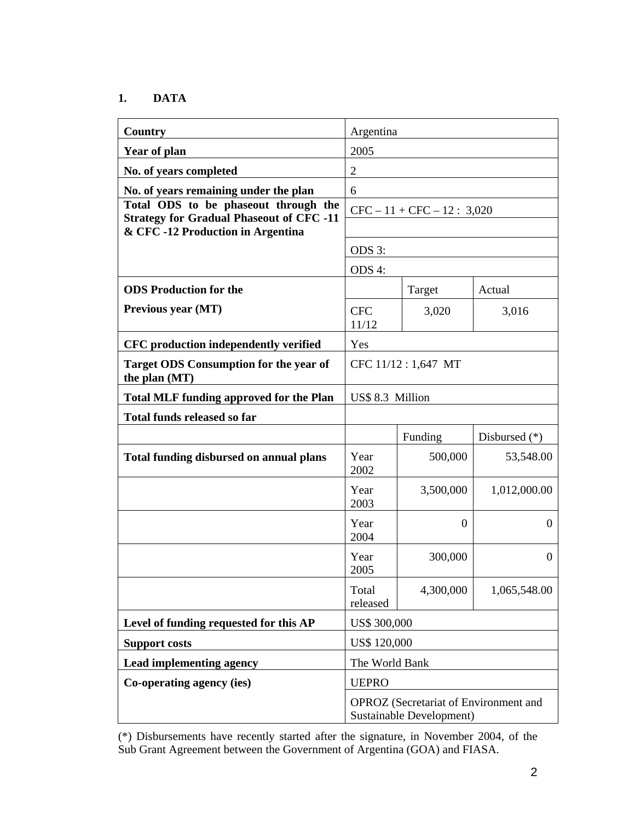## **1. DATA**

| Country                                                                             | Argentina                                                         |                |                  |  |  |
|-------------------------------------------------------------------------------------|-------------------------------------------------------------------|----------------|------------------|--|--|
| <b>Year of plan</b>                                                                 | 2005                                                              |                |                  |  |  |
| No. of years completed                                                              | $\overline{2}$                                                    |                |                  |  |  |
| No. of years remaining under the plan                                               | 6                                                                 |                |                  |  |  |
| Total ODS to be phaseout through the                                                | $CFC - 11 + CFC - 12 : 3,020$                                     |                |                  |  |  |
| <b>Strategy for Gradual Phaseout of CFC -11</b><br>& CFC-12 Production in Argentina |                                                                   |                |                  |  |  |
|                                                                                     | ODS 3:                                                            |                |                  |  |  |
|                                                                                     | ODS 4:                                                            |                |                  |  |  |
| <b>ODS</b> Production for the                                                       | Target<br>Actual                                                  |                |                  |  |  |
| Previous year (MT)                                                                  | <b>CFC</b><br>3,020<br>3,016<br>11/12                             |                |                  |  |  |
| CFC production independently verified                                               | Yes                                                               |                |                  |  |  |
| <b>Target ODS Consumption for the year of</b><br>the plan (MT)                      | CFC 11/12: 1,647 MT                                               |                |                  |  |  |
| <b>Total MLF funding approved for the Plan</b>                                      | US\$ 8.3 Million                                                  |                |                  |  |  |
| <b>Total funds released so far</b>                                                  |                                                                   |                |                  |  |  |
|                                                                                     | Funding<br>Disbursed $(*)$                                        |                |                  |  |  |
| <b>Total funding disbursed on annual plans</b>                                      | Year<br>2002                                                      | 500,000        | 53,548.00        |  |  |
|                                                                                     | Year<br>2003                                                      | 3,500,000      | 1,012,000.00     |  |  |
|                                                                                     | Year<br>2004                                                      | $\overline{0}$ | $\boldsymbol{0}$ |  |  |
|                                                                                     | Year<br>2005                                                      | 300,000        | $\Omega$         |  |  |
|                                                                                     | 4,300,000<br>Total<br>1,065,548.00<br>released                    |                |                  |  |  |
| Level of funding requested for this AP                                              | US\$ 300,000                                                      |                |                  |  |  |
| <b>Support costs</b>                                                                | <b>US\$ 120,000</b>                                               |                |                  |  |  |
| Lead implementing agency                                                            | The World Bank                                                    |                |                  |  |  |
| Co-operating agency (ies)                                                           | <b>UEPRO</b>                                                      |                |                  |  |  |
|                                                                                     | OPROZ (Secretariat of Environment and<br>Sustainable Development) |                |                  |  |  |

(\*) Disbursements have recently started after the signature, in November 2004, of the Sub Grant Agreement between the Government of Argentina (GOA) and FIASA.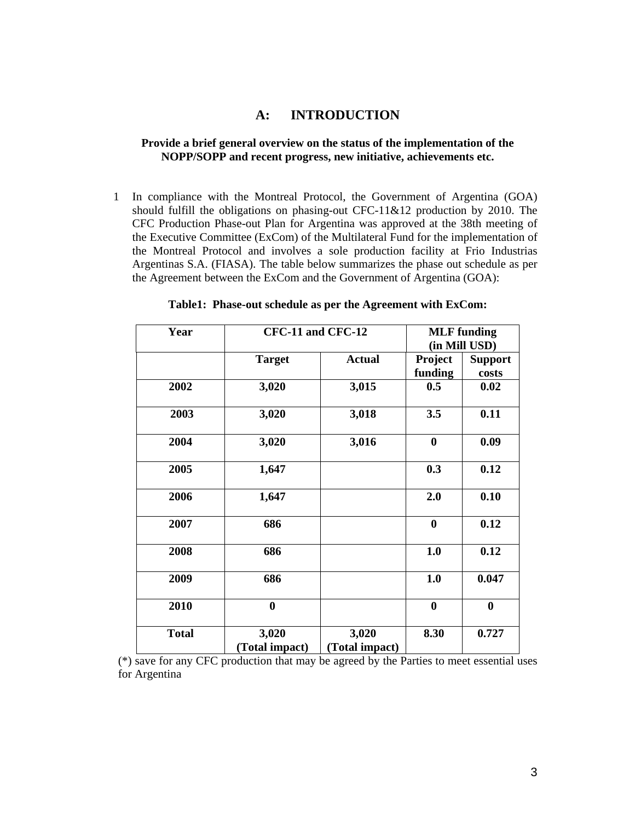### **A: INTRODUCTION**

#### **Provide a brief general overview on the status of the implementation of the NOPP/SOPP and recent progress, new initiative, achievements etc.**

1 In compliance with the Montreal Protocol, the Government of Argentina (GOA) should fulfill the obligations on phasing-out CFC-11&12 production by 2010. The CFC Production Phase-out Plan for Argentina was approved at the 38th meeting of the Executive Committee (ExCom) of the Multilateral Fund for the implementation of the Montreal Protocol and involves a sole production facility at Frio Industrias Argentinas S.A. (FIASA). The table below summarizes the phase out schedule as per the Agreement between the ExCom and the Government of Argentina (GOA):

| Year         |                         | CFC-11 and CFC-12       |                    | <b>MLF</b> funding<br>(in Mill USD) |
|--------------|-------------------------|-------------------------|--------------------|-------------------------------------|
|              | <b>Target</b>           | <b>Actual</b>           | Project<br>funding | <b>Support</b><br>costs             |
| 2002         | 3,020                   | 3,015                   | 0.5                | 0.02                                |
| 2003         | 3,020                   | 3,018                   | 3.5                | 0.11                                |
| 2004         | 3,020                   | 3,016                   | $\boldsymbol{0}$   | 0.09                                |
| 2005         | 1,647                   |                         | 0.3                | 0.12                                |
| 2006         | 1,647                   |                         | 2.0                | 0.10                                |
| 2007         | 686                     |                         | $\bf{0}$           | 0.12                                |
| 2008         | 686                     |                         | 1.0                | 0.12                                |
| 2009         | 686                     |                         | 1.0                | 0.047                               |
| 2010         | $\bf{0}$                |                         | $\bf{0}$           | $\bf{0}$                            |
| <b>Total</b> | 3,020<br>(Total impact) | 3,020<br>(Total impact) | 8.30               | 0.727                               |

**Table1: Phase-out schedule as per the Agreement with ExCom:** 

(\*) save for any CFC production that may be agreed by the Parties to meet essential uses for Argentina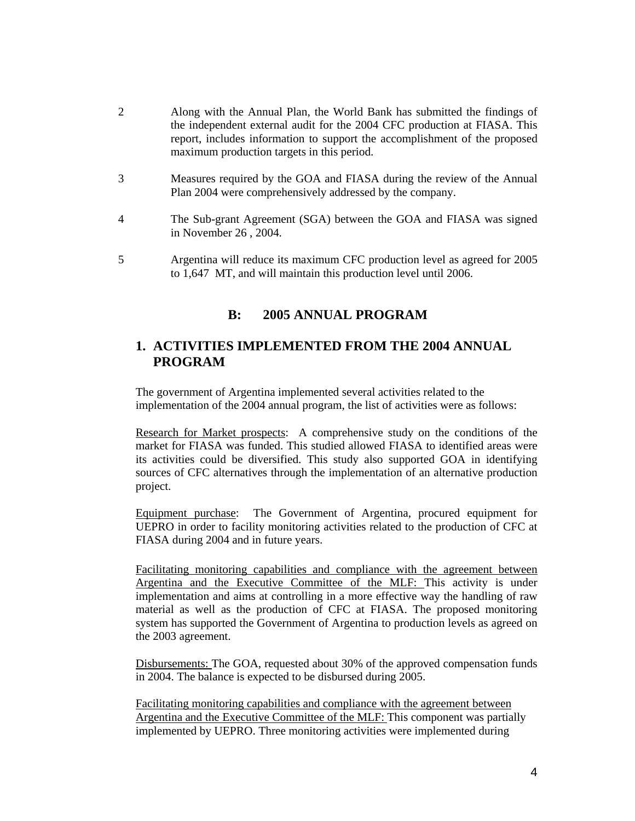- 2 Along with the Annual Plan, the World Bank has submitted the findings of the independent external audit for the 2004 CFC production at FIASA. This report, includes information to support the accomplishment of the proposed maximum production targets in this period.
- 3 Measures required by the GOA and FIASA during the review of the Annual Plan 2004 were comprehensively addressed by the company.
- 4 The Sub-grant Agreement (SGA) between the GOA and FIASA was signed in November 26 , 2004.
- 5 Argentina will reduce its maximum CFC production level as agreed for 2005 to 1,647 MT, and will maintain this production level until 2006.

## **B: 2005 ANNUAL PROGRAM**

## **1. ACTIVITIES IMPLEMENTED FROM THE 2004 ANNUAL PROGRAM**

The government of Argentina implemented several activities related to the implementation of the 2004 annual program, the list of activities were as follows:

Research for Market prospects: A comprehensive study on the conditions of the market for FIASA was funded. This studied allowed FIASA to identified areas were its activities could be diversified. This study also supported GOA in identifying sources of CFC alternatives through the implementation of an alternative production project.

Equipment purchase: The Government of Argentina, procured equipment for UEPRO in order to facility monitoring activities related to the production of CFC at FIASA during 2004 and in future years.

Facilitating monitoring capabilities and compliance with the agreement between Argentina and the Executive Committee of the MLF: This activity is under implementation and aims at controlling in a more effective way the handling of raw material as well as the production of CFC at FIASA. The proposed monitoring system has supported the Government of Argentina to production levels as agreed on the 2003 agreement.

Disbursements: The GOA, requested about 30% of the approved compensation funds in 2004. The balance is expected to be disbursed during 2005.

Facilitating monitoring capabilities and compliance with the agreement between Argentina and the Executive Committee of the MLF: This component was partially implemented by UEPRO. Three monitoring activities were implemented during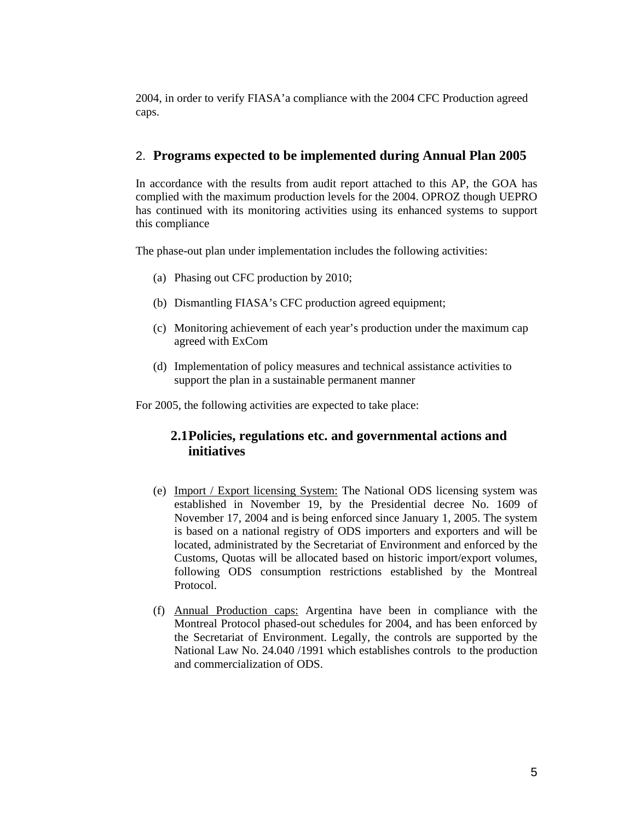2004, in order to verify FIASA'a compliance with the 2004 CFC Production agreed caps.

### 2. **Programs expected to be implemented during Annual Plan 2005**

In accordance with the results from audit report attached to this AP, the GOA has complied with the maximum production levels for the 2004. OPROZ though UEPRO has continued with its monitoring activities using its enhanced systems to support this compliance

The phase-out plan under implementation includes the following activities:

- (a) Phasing out CFC production by 2010;
- (b) Dismantling FIASA's CFC production agreed equipment;
- (c) Monitoring achievement of each year's production under the maximum cap agreed with ExCom
- (d) Implementation of policy measures and technical assistance activities to support the plan in a sustainable permanent manner

For 2005, the following activities are expected to take place:

## **2.1Policies, regulations etc. and governmental actions and initiatives**

- (e) Import / Export licensing System: The National ODS licensing system was established in November 19, by the Presidential decree No. 1609 of November 17, 2004 and is being enforced since January 1, 2005. The system is based on a national registry of ODS importers and exporters and will be located, administrated by the Secretariat of Environment and enforced by the Customs, Quotas will be allocated based on historic import/export volumes, following ODS consumption restrictions established by the Montreal Protocol.
- (f) Annual Production caps: Argentina have been in compliance with the Montreal Protocol phased-out schedules for 2004, and has been enforced by the Secretariat of Environment. Legally, the controls are supported by the National Law No. 24.040 /1991 which establishes controls to the production and commercialization of ODS.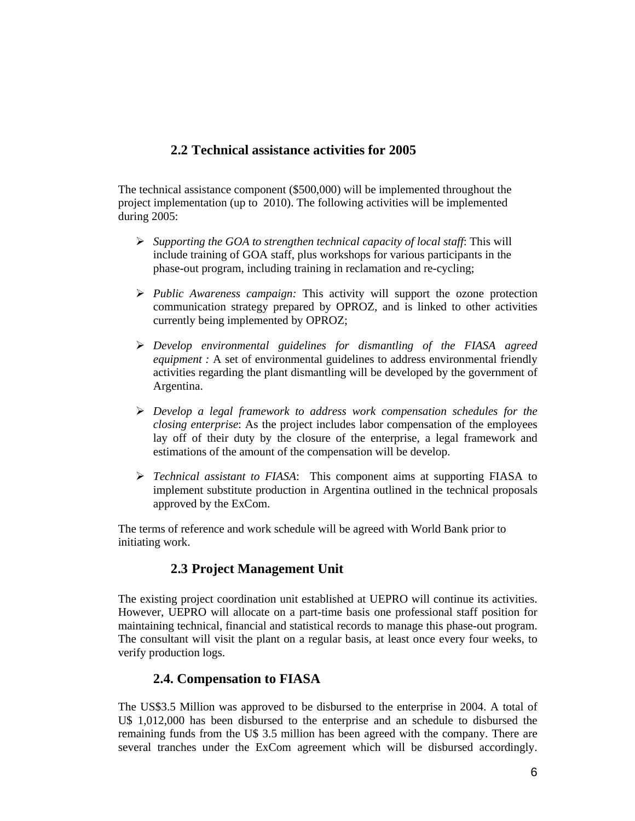## **2.2 Technical assistance activities for 2005**

The technical assistance component (\$500,000) will be implemented throughout the project implementation (up to 2010). The following activities will be implemented during 2005:

- ¾ *Supporting the GOA to strengthen technical capacity of local staff*: This will include training of GOA staff, plus workshops for various participants in the phase-out program, including training in reclamation and re-cycling;
- ¾ *Public Awareness campaign:* This activity will support the ozone protection communication strategy prepared by OPROZ, and is linked to other activities currently being implemented by OPROZ;
- ¾ *Develop environmental guidelines for dismantling of the FIASA agreed equipment :* A set of environmental guidelines to address environmental friendly activities regarding the plant dismantling will be developed by the government of Argentina.
- ¾ *Develop a legal framework to address work compensation schedules for the closing enterprise*: As the project includes labor compensation of the employees lay off of their duty by the closure of the enterprise, a legal framework and estimations of the amount of the compensation will be develop.
- ¾ *Technical assistant to FIASA*: This component aims at supporting FIASA to implement substitute production in Argentina outlined in the technical proposals approved by the ExCom.

The terms of reference and work schedule will be agreed with World Bank prior to initiating work.

# **2.3 Project Management Unit**

The existing project coordination unit established at UEPRO will continue its activities. However, UEPRO will allocate on a part-time basis one professional staff position for maintaining technical, financial and statistical records to manage this phase-out program. The consultant will visit the plant on a regular basis, at least once every four weeks, to verify production logs.

## **2.4. Compensation to FIASA**

The US\$3.5 Million was approved to be disbursed to the enterprise in 2004. A total of U\$ 1,012,000 has been disbursed to the enterprise and an schedule to disbursed the remaining funds from the U\$ 3.5 million has been agreed with the company. There are several tranches under the ExCom agreement which will be disbursed accordingly.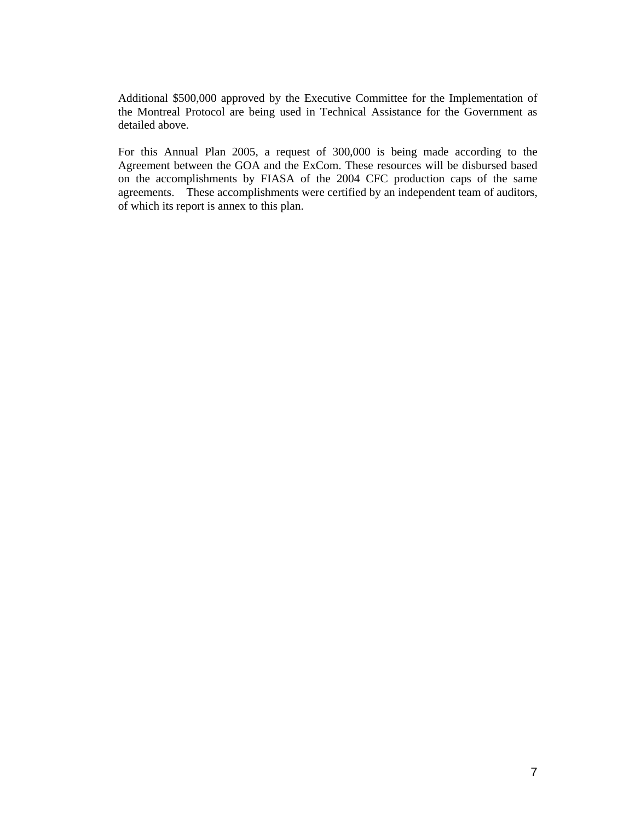Additional \$500,000 approved by the Executive Committee for the Implementation of the Montreal Protocol are being used in Technical Assistance for the Government as detailed above.

For this Annual Plan 2005, a request of 300,000 is being made according to the Agreement between the GOA and the ExCom. These resources will be disbursed based on the accomplishments by FIASA of the 2004 CFC production caps of the same agreements. These accomplishments were certified by an independent team of auditors, of which its report is annex to this plan.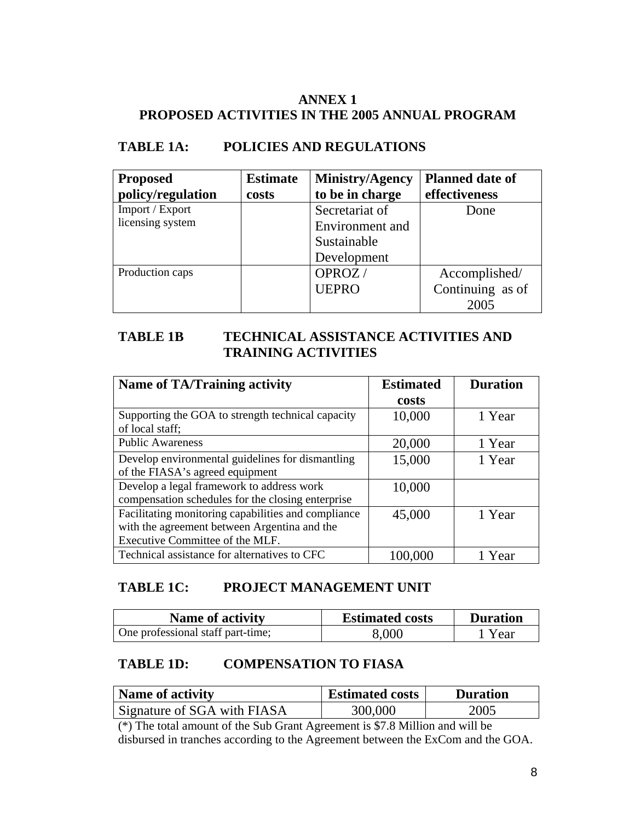# **ANNEX 1 PROPOSED ACTIVITIES IN THE 2005 ANNUAL PROGRAM**

# **TABLE 1A: POLICIES AND REGULATIONS**

| <b>Proposed</b>   | <b>Estimate</b> | Ministry/Agency | <b>Planned date of</b> |
|-------------------|-----------------|-----------------|------------------------|
| policy/regulation | costs           | to be in charge | effectiveness          |
| Import / Export   |                 | Secretariat of  | Done                   |
| licensing system  |                 | Environment and |                        |
|                   |                 | Sustainable     |                        |
|                   |                 | Development     |                        |
| Production caps   |                 | OPROZ/          | Accomplished/          |
|                   |                 | <b>UEPRO</b>    | Continuing as of       |
|                   |                 |                 | 2005                   |

# **TABLE 1B TECHNICAL ASSISTANCE ACTIVITIES AND TRAINING ACTIVITIES**

| <b>Name of TA/Training activity</b>                 | <b>Estimated</b> | <b>Duration</b> |
|-----------------------------------------------------|------------------|-----------------|
|                                                     | costs            |                 |
| Supporting the GOA to strength technical capacity   | 10,000           | 1 Year          |
| of local staff;                                     |                  |                 |
| <b>Public Awareness</b>                             | 20,000           | 1 Year          |
| Develop environmental guidelines for dismantling    | 15,000           | 1 Year          |
| of the FIASA's agreed equipment                     |                  |                 |
| Develop a legal framework to address work           | 10,000           |                 |
| compensation schedules for the closing enterprise   |                  |                 |
| Facilitating monitoring capabilities and compliance | 45,000           | 1 Year          |
| with the agreement between Argentina and the        |                  |                 |
| Executive Committee of the MLF.                     |                  |                 |
| Technical assistance for alternatives to CFC        | 100,000          | 1 Year          |

# **TABLE 1C: PROJECT MANAGEMENT UNIT**

| <b>Name of activity</b>           | <b>Estimated costs</b> | <b>Duration</b> |
|-----------------------------------|------------------------|-----------------|
| One professional staff part-time; | 8,000                  | 1 Year          |

# **TABLE 1D: COMPENSATION TO FIASA**

| Name of activity            | <b>Estimated costs</b> | <b>Duration</b> |  |
|-----------------------------|------------------------|-----------------|--|
| Signature of SGA with FIASA | 300,000                | 2005            |  |

(\*) The total amount of the Sub Grant Agreement is \$7.8 Million and will be disbursed in tranches according to the Agreement between the ExCom and the GOA.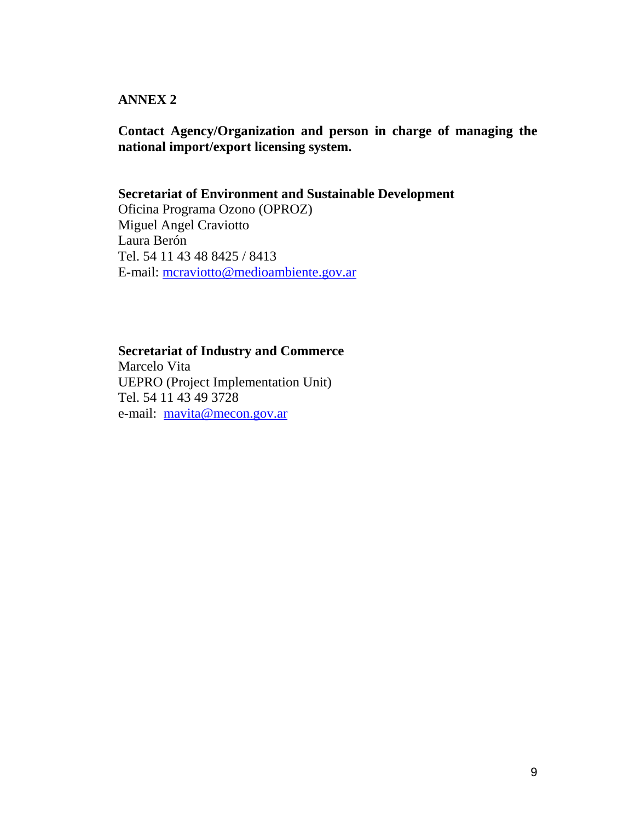## **ANNEX 2**

## **Contact Agency/Organization and person in charge of managing the national import/export licensing system.**

# **Secretariat of Environment and Sustainable Development**

Oficina Programa Ozono (OPROZ) Miguel Angel Craviotto Laura Berón Tel. 54 11 43 48 8425 / 8413 E-mail: mcraviotto@medioambiente.gov.ar

### **Secretariat of Industry and Commerce**

Marcelo Vita UEPRO (Project Implementation Unit) Tel. 54 11 43 49 3728 e-mail: mavita@mecon.gov.ar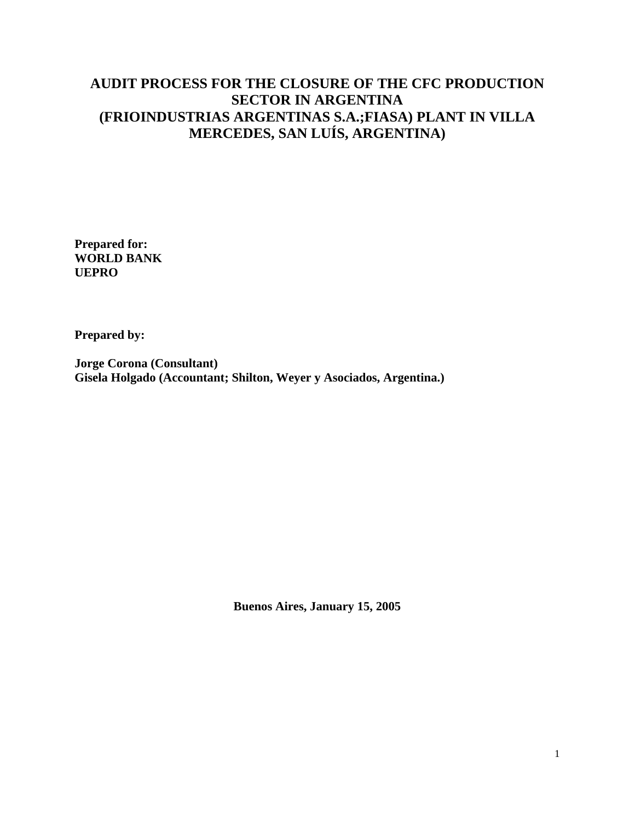# **AUDIT PROCESS FOR THE CLOSURE OF THE CFC PRODUCTION SECTOR IN ARGENTINA (FRIOINDUSTRIAS ARGENTINAS S.A.;FIASA) PLANT IN VILLA MERCEDES, SAN LUÍS, ARGENTINA)**

**Prepared for: WORLD BANK UEPRO** 

**Prepared by:** 

**Jorge Corona (Consultant) Gisela Holgado (Accountant; Shilton, Weyer y Asociados, Argentina.)** 

**Buenos Aires, January 15, 2005**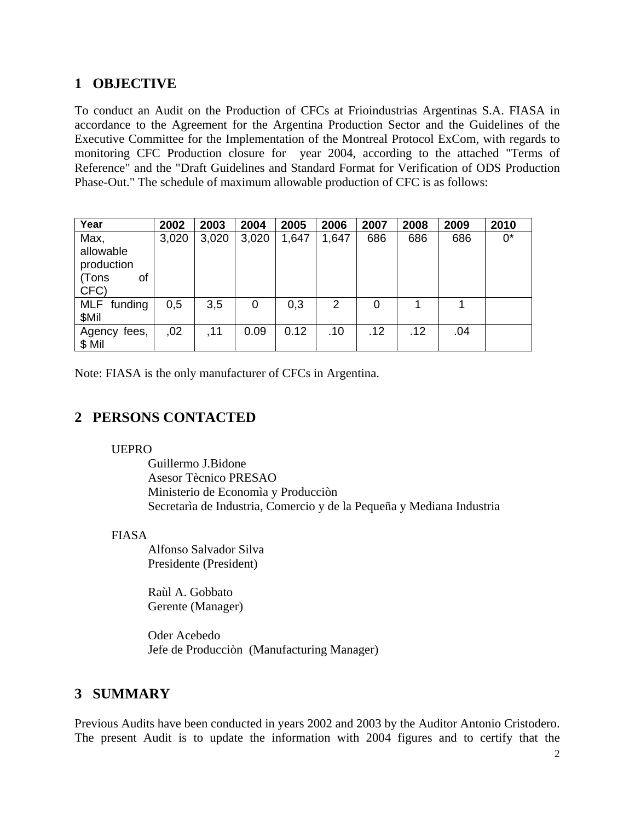# **1 OBJECTIVE**

To conduct an Audit on the Production of CFCs at Frioindustrias Argentinas S.A. FIASA in accordance to the Agreement for the Argentina Production Sector and the Guidelines of the Executive Committee for the Implementation of the Montreal Protocol ExCom, with regards to monitoring CFC Production closure for year 2004, according to the attached "Terms of Reference" and the "Draft Guidelines and Standard Format for Verification of ODS Production Phase-Out." The schedule of maximum allowable production of CFC is as follows:

| Year                                                   | 2002  | 2003  | 2004  | 2005  | 2006  | 2007 | 2008 | 2009 | 2010  |
|--------------------------------------------------------|-------|-------|-------|-------|-------|------|------|------|-------|
| Max,<br>allowable<br>production<br>(Tons<br>οf<br>CFC) | 3,020 | 3,020 | 3,020 | 1,647 | 1,647 | 686  | 686  | 686  | $0^*$ |
| MLF funding<br>\$Mil                                   | 0,5   | 3,5   | 0     | 0,3   | 2     | 0    |      |      |       |
| Agency<br>fees,<br>\$ Mil                              | ,02   | , 11  | 0.09  | 0.12  | .10   | .12  | .12  | .04  |       |

Note: FIASA is the only manufacturer of CFCs in Argentina.

# **2 PERSONS CONTACTED**

### UEPRO

 Guillermo J.Bidone Asesor Tècnico PRESAO Ministerio de Economìa y Producciòn Secretarìa de Industria, Comercio y de la Pequeña y Mediana Industria

## FIASA

 Alfonso Salvador Silva Presidente (President)

 Raùl A. Gobbato Gerente (Manager)

 Oder Acebedo Jefe de Producciòn (Manufacturing Manager)

# **3 SUMMARY**

Previous Audits have been conducted in years 2002 and 2003 by the Auditor Antonio Cristodero. The present Audit is to update the information with 2004 figures and to certify that the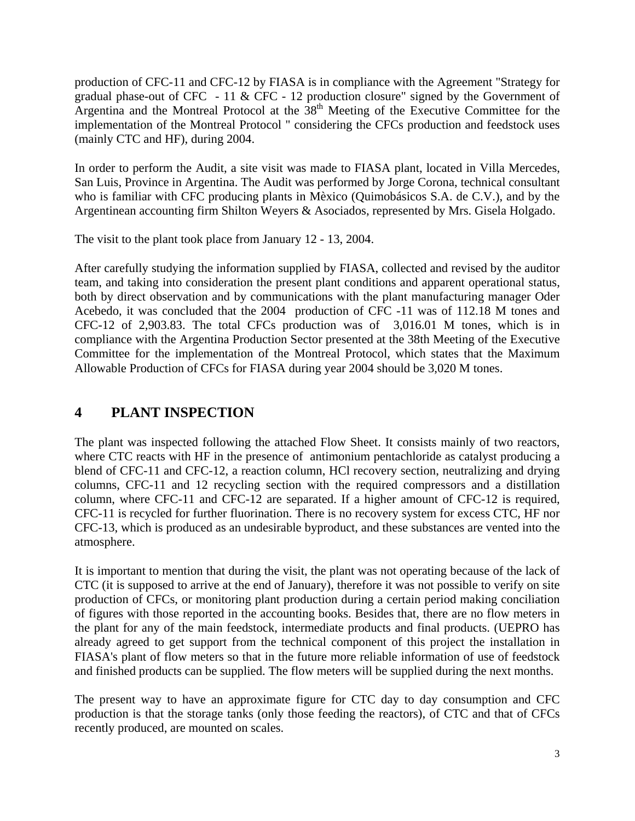production of CFC-11 and CFC-12 by FIASA is in compliance with the Agreement "Strategy for gradual phase-out of CFC - 11 & CFC - 12 production closure" signed by the Government of Argentina and the Montreal Protocol at the  $38<sup>th</sup>$  Meeting of the Executive Committee for the implementation of the Montreal Protocol " considering the CFCs production and feedstock uses (mainly CTC and HF), during 2004.

In order to perform the Audit, a site visit was made to FIASA plant, located in Villa Mercedes, San Luis, Province in Argentina. The Audit was performed by Jorge Corona, technical consultant who is familiar with CFC producing plants in Mèxico (Quimobásicos S.A. de C.V.), and by the Argentinean accounting firm Shilton Weyers & Asociados, represented by Mrs. Gisela Holgado.

The visit to the plant took place from January 12 - 13, 2004.

After carefully studying the information supplied by FIASA, collected and revised by the auditor team, and taking into consideration the present plant conditions and apparent operational status, both by direct observation and by communications with the plant manufacturing manager Oder Acebedo, it was concluded that the 2004 production of CFC -11 was of 112.18 M tones and CFC-12 of 2,903.83. The total CFCs production was of 3,016.01 M tones, which is in compliance with the Argentina Production Sector presented at the 38th Meeting of the Executive Committee for the implementation of the Montreal Protocol, which states that the Maximum Allowable Production of CFCs for FIASA during year 2004 should be 3,020 M tones.

# **4 PLANT INSPECTION**

The plant was inspected following the attached Flow Sheet. It consists mainly of two reactors, where CTC reacts with HF in the presence of antimonium pentachloride as catalyst producing a blend of CFC-11 and CFC-12, a reaction column, HCl recovery section, neutralizing and drying columns, CFC-11 and 12 recycling section with the required compressors and a distillation column, where CFC-11 and CFC-12 are separated. If a higher amount of CFC-12 is required, CFC-11 is recycled for further fluorination. There is no recovery system for excess CTC, HF nor CFC-13, which is produced as an undesirable byproduct, and these substances are vented into the atmosphere.

It is important to mention that during the visit, the plant was not operating because of the lack of CTC (it is supposed to arrive at the end of January), therefore it was not possible to verify on site production of CFCs, or monitoring plant production during a certain period making conciliation of figures with those reported in the accounting books. Besides that, there are no flow meters in the plant for any of the main feedstock, intermediate products and final products. (UEPRO has already agreed to get support from the technical component of this project the installation in FIASA's plant of flow meters so that in the future more reliable information of use of feedstock and finished products can be supplied. The flow meters will be supplied during the next months.

The present way to have an approximate figure for CTC day to day consumption and CFC production is that the storage tanks (only those feeding the reactors), of CTC and that of CFCs recently produced, are mounted on scales.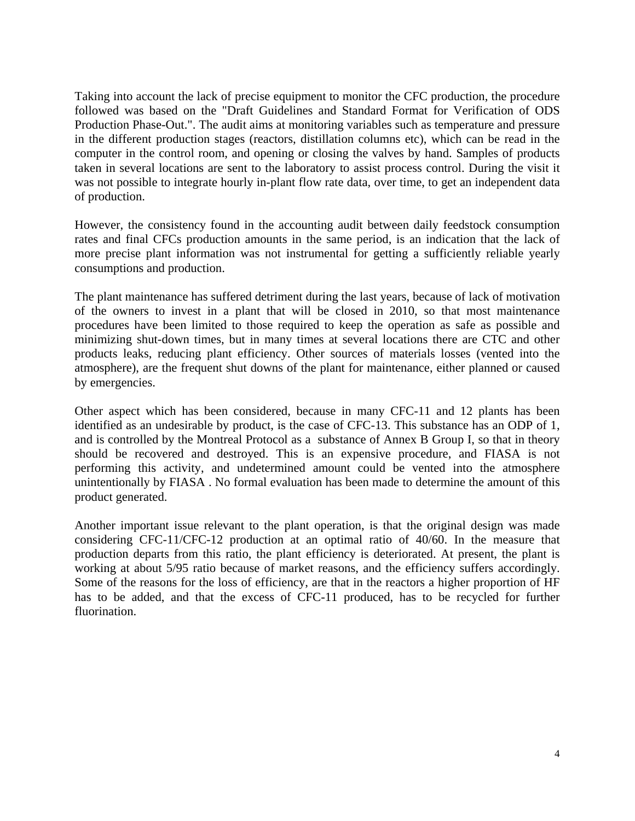Taking into account the lack of precise equipment to monitor the CFC production, the procedure followed was based on the "Draft Guidelines and Standard Format for Verification of ODS Production Phase-Out.". The audit aims at monitoring variables such as temperature and pressure in the different production stages (reactors, distillation columns etc), which can be read in the computer in the control room, and opening or closing the valves by hand. Samples of products taken in several locations are sent to the laboratory to assist process control. During the visit it was not possible to integrate hourly in-plant flow rate data, over time, to get an independent data of production.

However, the consistency found in the accounting audit between daily feedstock consumption rates and final CFCs production amounts in the same period, is an indication that the lack of more precise plant information was not instrumental for getting a sufficiently reliable yearly consumptions and production.

The plant maintenance has suffered detriment during the last years, because of lack of motivation of the owners to invest in a plant that will be closed in 2010, so that most maintenance procedures have been limited to those required to keep the operation as safe as possible and minimizing shut-down times, but in many times at several locations there are CTC and other products leaks, reducing plant efficiency. Other sources of materials losses (vented into the atmosphere), are the frequent shut downs of the plant for maintenance, either planned or caused by emergencies.

Other aspect which has been considered, because in many CFC-11 and 12 plants has been identified as an undesirable by product, is the case of CFC-13. This substance has an ODP of 1, and is controlled by the Montreal Protocol as a substance of Annex B Group I, so that in theory should be recovered and destroyed. This is an expensive procedure, and FIASA is not performing this activity, and undetermined amount could be vented into the atmosphere unintentionally by FIASA . No formal evaluation has been made to determine the amount of this product generated.

Another important issue relevant to the plant operation, is that the original design was made considering CFC-11/CFC-12 production at an optimal ratio of 40/60. In the measure that production departs from this ratio, the plant efficiency is deteriorated. At present, the plant is working at about 5/95 ratio because of market reasons, and the efficiency suffers accordingly. Some of the reasons for the loss of efficiency, are that in the reactors a higher proportion of HF has to be added, and that the excess of CFC-11 produced, has to be recycled for further fluorination.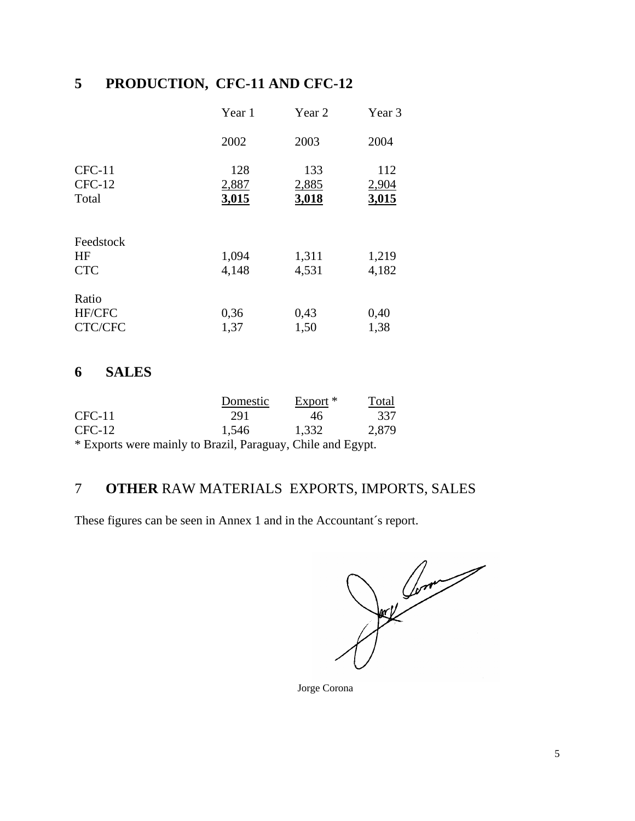# **5 PRODUCTION, CFC-11 AND CFC-12**

|                               | Year 1                | Year 2                | Year 3                |
|-------------------------------|-----------------------|-----------------------|-----------------------|
|                               | 2002                  | 2003                  | 2004                  |
| $CFC-11$<br>$CFC-12$<br>Total | 128<br>2,887<br>3,015 | 133<br>2,885<br>3,018 | 112<br>2,904<br>3,015 |
| Feedstock<br>HF<br><b>CTC</b> | 1,094<br>4,148        | 1,311<br>4,531        | 1,219<br>4,182        |
| Ratio<br>HF/CFC<br>CTC/CFC    | 0,36<br>1,37          | 0,43<br>1,50          | 0,40<br>1,38          |

# **6 SALES**

|          | Domestic                                                                    | $Export *$ | Total |
|----------|-----------------------------------------------------------------------------|------------|-------|
| $CFC-11$ | 291                                                                         | 46         | 337   |
| $CFC-12$ | 1.546                                                                       | 1,332      | 2,879 |
|          | $\star$ Property results and the full probability $\sim$ 10.11 and 1 $\sim$ |            |       |

\* Exports were mainly to Brazil, Paraguay, Chile and Egypt.

# 7 **OTHER** RAW MATERIALS EXPORTS, IMPORTS, SALES

These figures can be seen in Annex 1 and in the Accountant´s report.

Comparation of the Company

Jorge Corona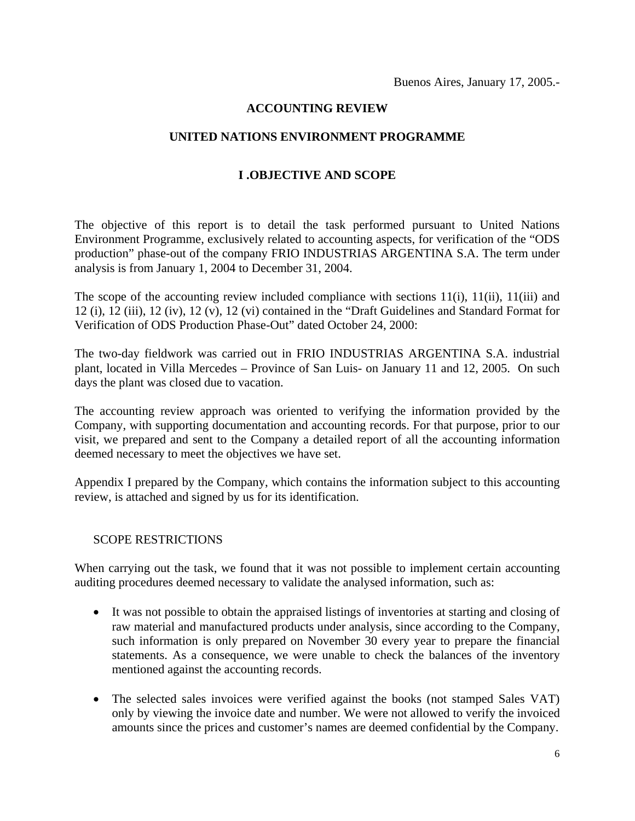### **ACCOUNTING REVIEW**

### **UNITED NATIONS ENVIRONMENT PROGRAMME**

### **I .OBJECTIVE AND SCOPE**

The objective of this report is to detail the task performed pursuant to United Nations Environment Programme, exclusively related to accounting aspects, for verification of the "ODS production" phase-out of the company FRIO INDUSTRIAS ARGENTINA S.A. The term under analysis is from January 1, 2004 to December 31, 2004.

The scope of the accounting review included compliance with sections  $11(i)$ ,  $11(ii)$ ,  $11(iii)$  and 12 (i), 12 (iii), 12 (iv), 12 (v), 12 (vi) contained in the "Draft Guidelines and Standard Format for Verification of ODS Production Phase-Out" dated October 24, 2000:

The two-day fieldwork was carried out in FRIO INDUSTRIAS ARGENTINA S.A. industrial plant, located in Villa Mercedes – Province of San Luis- on January 11 and 12, 2005. On such days the plant was closed due to vacation.

The accounting review approach was oriented to verifying the information provided by the Company, with supporting documentation and accounting records. For that purpose, prior to our visit, we prepared and sent to the Company a detailed report of all the accounting information deemed necessary to meet the objectives we have set.

Appendix I prepared by the Company, which contains the information subject to this accounting review, is attached and signed by us for its identification.

#### SCOPE RESTRICTIONS

When carrying out the task, we found that it was not possible to implement certain accounting auditing procedures deemed necessary to validate the analysed information, such as:

- It was not possible to obtain the appraised listings of inventories at starting and closing of raw material and manufactured products under analysis, since according to the Company, such information is only prepared on November 30 every year to prepare the financial statements. As a consequence, we were unable to check the balances of the inventory mentioned against the accounting records.
- The selected sales invoices were verified against the books (not stamped Sales VAT) only by viewing the invoice date and number. We were not allowed to verify the invoiced amounts since the prices and customer's names are deemed confidential by the Company.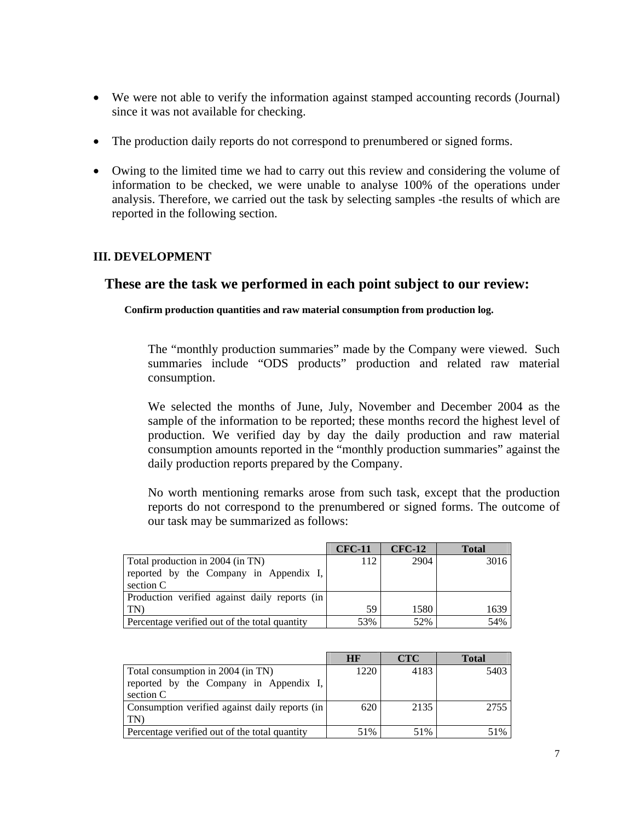- We were not able to verify the information against stamped accounting records (Journal) since it was not available for checking.
- The production daily reports do not correspond to prenumbered or signed forms.
- Owing to the limited time we had to carry out this review and considering the volume of information to be checked, we were unable to analyse 100% of the operations under analysis. Therefore, we carried out the task by selecting samples -the results of which are reported in the following section.

## **III. DEVELOPMENT**

# **These are the task we performed in each point subject to our review:**

**Confirm production quantities and raw material consumption from production log.** 

The "monthly production summaries" made by the Company were viewed. Such summaries include "ODS products" production and related raw material consumption.

We selected the months of June, July, November and December 2004 as the sample of the information to be reported; these months record the highest level of production. We verified day by day the daily production and raw material consumption amounts reported in the "monthly production summaries" against the daily production reports prepared by the Company.

No worth mentioning remarks arose from such task, except that the production reports do not correspond to the prenumbered or signed forms. The outcome of our task may be summarized as follows:

|                                               | <b>CFC-11</b> | <b>CFC-12</b> | <b>Total</b> |
|-----------------------------------------------|---------------|---------------|--------------|
| Total production in 2004 (in TN)              | 112           | 2904          | 3016         |
| reported by the Company in Appendix I,        |               |               |              |
| section C                                     |               |               |              |
| Production verified against daily reports (in |               |               |              |
| TN                                            | 59            | 1580          | 1639         |
| Percentage verified out of the total quantity | 53%           | 52%           | 54%          |

|                                                | HR   | <b>CTC</b> | <b>Total</b> |
|------------------------------------------------|------|------------|--------------|
| Total consumption in 2004 (in TN)              | 1220 | 4183       | 5403         |
| reported by the Company in Appendix I,         |      |            |              |
| section C                                      |      |            |              |
| Consumption verified against daily reports (in | 620  | 2135       | 2755         |
| TN)                                            |      |            |              |
| Percentage verified out of the total quantity  | 51%  | 51%        | 51%          |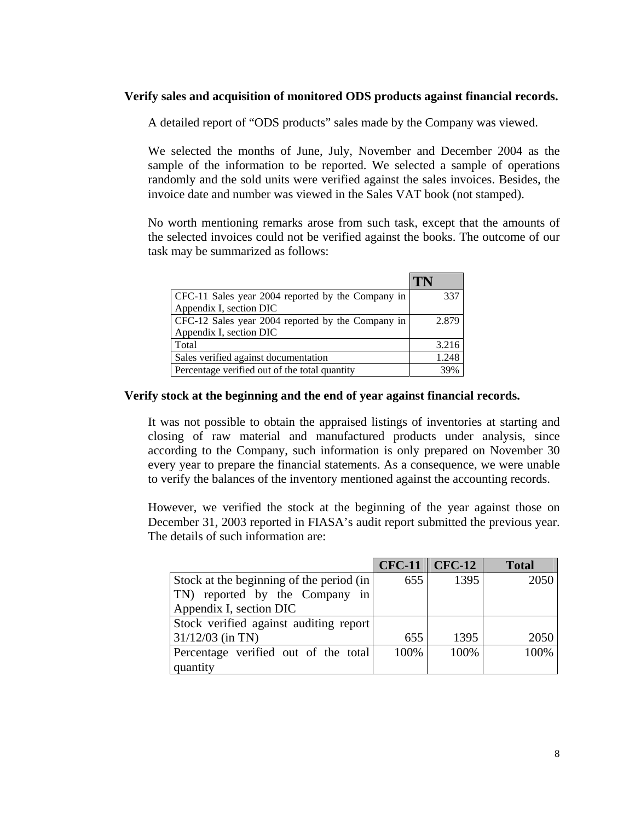### **Verify sales and acquisition of monitored ODS products against financial records.**

A detailed report of "ODS products" sales made by the Company was viewed.

We selected the months of June, July, November and December 2004 as the sample of the information to be reported. We selected a sample of operations randomly and the sold units were verified against the sales invoices. Besides, the invoice date and number was viewed in the Sales VAT book (not stamped).

No worth mentioning remarks arose from such task, except that the amounts of the selected invoices could not be verified against the books. The outcome of our task may be summarized as follows:

|                                                   | 'I'N  |
|---------------------------------------------------|-------|
| CFC-11 Sales year 2004 reported by the Company in | 337   |
| Appendix I, section DIC                           |       |
| CFC-12 Sales year 2004 reported by the Company in | 2.879 |
| Appendix I, section DIC                           |       |
| Total                                             | 3.216 |
| Sales verified against documentation              | 1.248 |
| Percentage verified out of the total quantity     | 39%   |

### **Verify stock at the beginning and the end of year against financial records.**

It was not possible to obtain the appraised listings of inventories at starting and closing of raw material and manufactured products under analysis, since according to the Company, such information is only prepared on November 30 every year to prepare the financial statements. As a consequence, we were unable to verify the balances of the inventory mentioned against the accounting records.

However, we verified the stock at the beginning of the year against those on December 31, 2003 reported in FIASA's audit report submitted the previous year. The details of such information are:

|                                           |      | $CFC-11$ $CFC-12$ | <b>Total</b> |
|-------------------------------------------|------|-------------------|--------------|
| Stock at the beginning of the period (in) | 655  | 1395              | 2050         |
| TN) reported by the Company in            |      |                   |              |
| Appendix I, section DIC                   |      |                   |              |
| Stock verified against auditing report    |      |                   |              |
| $31/12/03$ (in TN)                        | 655  | 1395              | 2050         |
| Percentage verified out of the total      | 100% | 100%              | 100%         |
| quantity                                  |      |                   |              |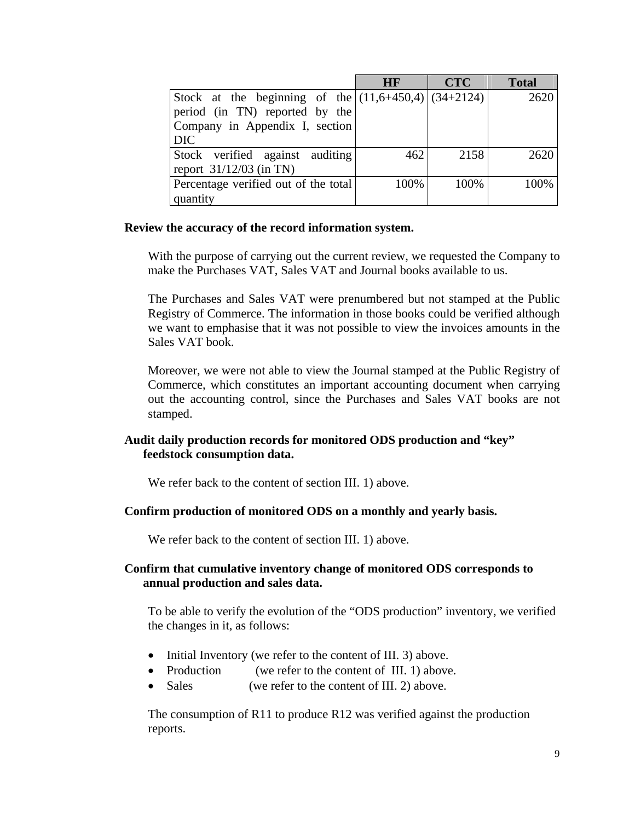|                                                        | <b>HF</b> | <b>CTC</b> | <b>Total</b> |
|--------------------------------------------------------|-----------|------------|--------------|
| Stock at the beginning of the $(11,6+450,4)$ (34+2124) |           |            | 2620         |
| period (in TN) reported by the                         |           |            |              |
| Company in Appendix I, section                         |           |            |              |
| <b>DIC</b>                                             |           |            |              |
| Stock verified against auditing                        | 462       | 2158       | 2620         |
| report $31/12/03$ (in TN)                              |           |            |              |
| Percentage verified out of the total                   | 100%      | 100%       | 100%         |
| quantity                                               |           |            |              |

### **Review the accuracy of the record information system.**

With the purpose of carrying out the current review, we requested the Company to make the Purchases VAT, Sales VAT and Journal books available to us.

The Purchases and Sales VAT were prenumbered but not stamped at the Public Registry of Commerce. The information in those books could be verified although we want to emphasise that it was not possible to view the invoices amounts in the Sales VAT book.

Moreover, we were not able to view the Journal stamped at the Public Registry of Commerce, which constitutes an important accounting document when carrying out the accounting control, since the Purchases and Sales VAT books are not stamped.

### **Audit daily production records for monitored ODS production and "key" feedstock consumption data.**

We refer back to the content of section III. 1) above.

### **Confirm production of monitored ODS on a monthly and yearly basis.**

We refer back to the content of section III. 1) above.

### **Confirm that cumulative inventory change of monitored ODS corresponds to annual production and sales data.**

To be able to verify the evolution of the "ODS production" inventory, we verified the changes in it, as follows:

- Initial Inventory (we refer to the content of III. 3) above.
- Production (we refer to the content of III. 1) above.
- Sales (we refer to the content of III. 2) above.

The consumption of R11 to produce R12 was verified against the production reports.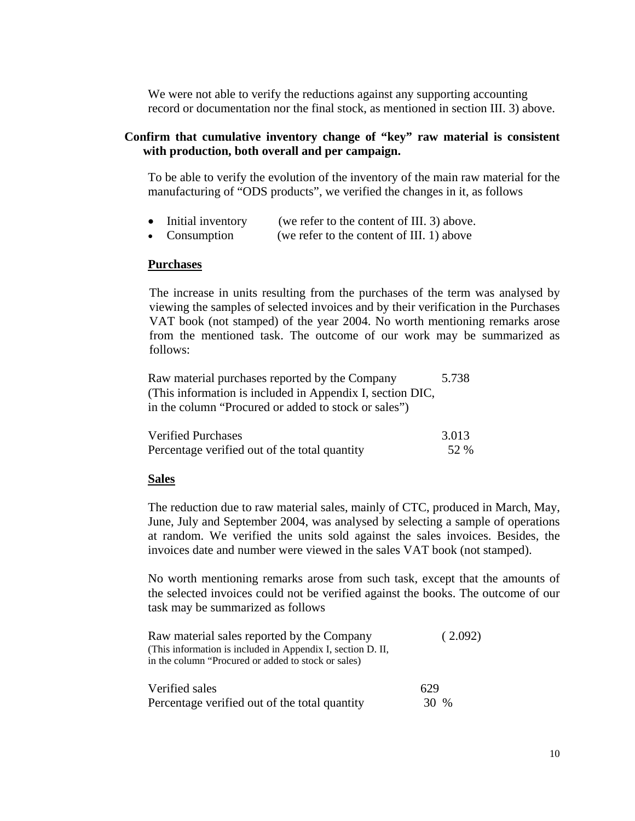We were not able to verify the reductions against any supporting accounting record or documentation nor the final stock, as mentioned in section III. 3) above.

### **Confirm that cumulative inventory change of "key" raw material is consistent with production, both overall and per campaign.**

To be able to verify the evolution of the inventory of the main raw material for the manufacturing of "ODS products", we verified the changes in it, as follows

- Initial inventory (we refer to the content of III. 3) above.
- Consumption (we refer to the content of III. 1) above

#### **Purchases**

The increase in units resulting from the purchases of the term was analysed by viewing the samples of selected invoices and by their verification in the Purchases VAT book (not stamped) of the year 2004. No worth mentioning remarks arose from the mentioned task. The outcome of our work may be summarized as follows:

Raw material purchases reported by the Company 5.738 (This information is included in Appendix I, section DIC, in the column "Procured or added to stock or sales")

| <b>Verified Purchases</b>                     | 3.013 |
|-----------------------------------------------|-------|
| Percentage verified out of the total quantity | 52 %  |

#### **Sales**

The reduction due to raw material sales, mainly of CTC, produced in March, May, June, July and September 2004, was analysed by selecting a sample of operations at random. We verified the units sold against the sales invoices. Besides, the invoices date and number were viewed in the sales VAT book (not stamped).

No worth mentioning remarks arose from such task, except that the amounts of the selected invoices could not be verified against the books. The outcome of our task may be summarized as follows

| Raw material sales reported by the Company                  | (2.092) |  |
|-------------------------------------------------------------|---------|--|
| (This information is included in Appendix I, section D. II, |         |  |
| in the column "Procured or added to stock or sales)         |         |  |
|                                                             |         |  |
| Verified sales                                              | 629     |  |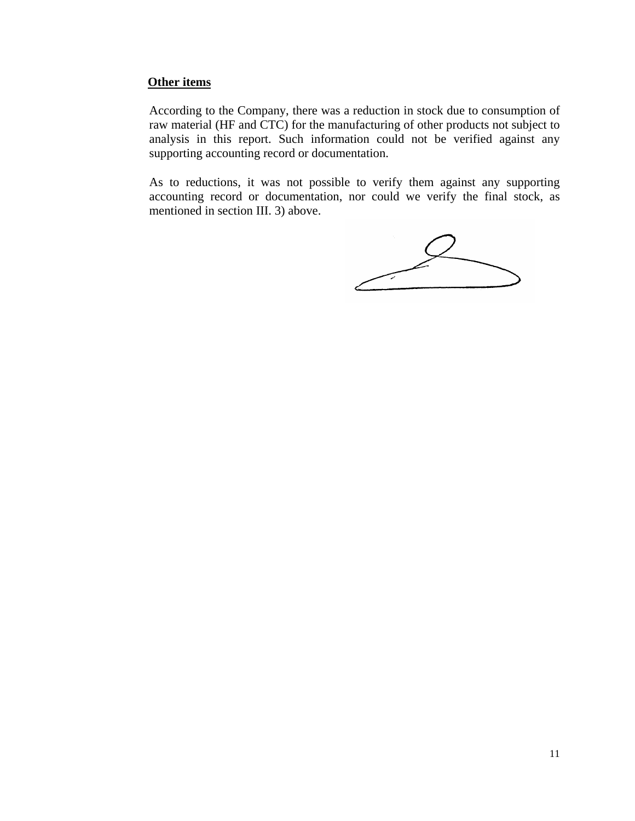### **Other items**

According to the Company, there was a reduction in stock due to consumption of raw material (HF and CTC) for the manufacturing of other products not subject to analysis in this report. Such information could not be verified against any supporting accounting record or documentation.

As to reductions, it was not possible to verify them against any supporting accounting record or documentation, nor could we verify the final stock, as mentioned in section III. 3) above.

 $\angle$ Partner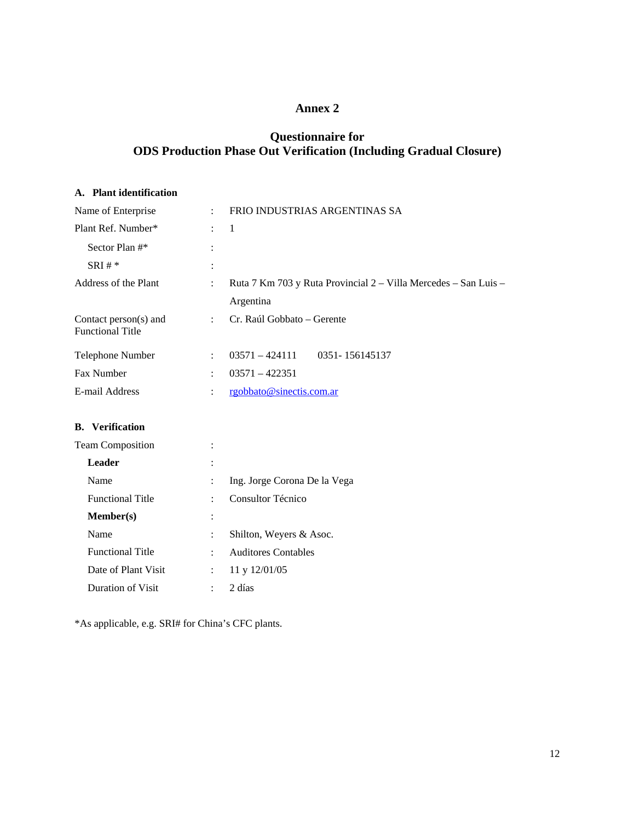### **Annex 2**

# **Questionnaire for ODS Production Phase Out Verification (Including Gradual Closure)**

#### **A. Plant identification**

| Name of Enterprise                               | ÷                    | FRIO INDUSTRIAS ARGENTINAS SA                                                |
|--------------------------------------------------|----------------------|------------------------------------------------------------------------------|
| Plant Ref. Number*                               | ÷                    | $\overline{1}$                                                               |
| Sector Plan #*                                   |                      |                                                                              |
| $SRI #*$                                         | $\ddot{\cdot}$       |                                                                              |
| Address of the Plant                             | ÷                    | Ruta 7 Km 703 y Ruta Provincial 2 – Villa Mercedes – San Luis –<br>Argentina |
| Contact person(s) and<br><b>Functional Title</b> | ÷                    | Cr. Raúl Gobbato – Gerente                                                   |
| Telephone Number                                 | $\ddot{\phantom{0}}$ | $03571 - 424111$<br>0351-156145137                                           |
| <b>Fax Number</b>                                | $\ddot{\phantom{0}}$ | $03571 - 422351$                                                             |
| E-mail Address                                   | ٠                    | rgobbato@sinectis.com.ar                                                     |

### **B. Verification**

| <b>Team Composition</b> |                |                              |
|-------------------------|----------------|------------------------------|
| Leader                  | $\ddot{\cdot}$ |                              |
| Name                    |                | Ing. Jorge Corona De la Vega |
| <b>Functional Title</b> |                | Consultor Técnico            |
| Member(s)               | $\ddot{\cdot}$ |                              |
| Name                    |                | Shilton, Weyers & Asoc.      |
| <b>Functional Title</b> |                | <b>Auditores Contables</b>   |
| Date of Plant Visit     |                | 11 y 12/01/05                |
| Duration of Visit       |                | 2 días                       |

\*As applicable, e.g. SRI# for China's CFC plants.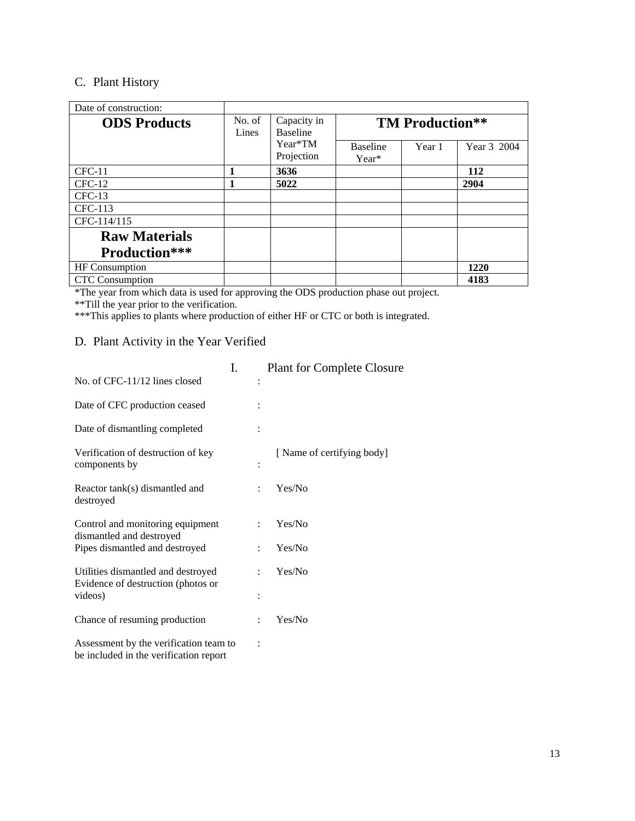# C. Plant History

| Date of construction:  |                 |                                |                        |        |             |
|------------------------|-----------------|--------------------------------|------------------------|--------|-------------|
| <b>ODS</b> Products    | No. of<br>Lines | Capacity in<br><b>Baseline</b> | <b>TM Production**</b> |        |             |
|                        |                 | Year*TM                        | <b>Baseline</b>        | Year 1 | Year 3 2004 |
|                        |                 | Projection                     | Year*                  |        |             |
| $CFC-11$               | 1               | 3636                           |                        |        | 112         |
| $CFC-12$               | 1               | 5022                           |                        |        | 2904        |
| $CFC-13$               |                 |                                |                        |        |             |
| $CFC-113$              |                 |                                |                        |        |             |
| CFC-114/115            |                 |                                |                        |        |             |
| <b>Raw Materials</b>   |                 |                                |                        |        |             |
| Production***          |                 |                                |                        |        |             |
| <b>HF</b> Consumption  |                 |                                |                        |        | 1220        |
| <b>CTC</b> Consumption |                 |                                |                        |        | 4183        |

\*The year from which data is used for approving the ODS production phase out project.

\*\*Till the year prior to the verification.

\*\*\*This applies to plants where production of either HF or CTC or both is integrated.

## D. Plant Activity in the Year Verified

|                                                                                  | I. |                      | <b>Plant for Complete Closure</b> |
|----------------------------------------------------------------------------------|----|----------------------|-----------------------------------|
| No. of CFC-11/12 lines closed                                                    |    |                      |                                   |
| Date of CFC production ceased                                                    |    |                      |                                   |
| Date of dismantling completed                                                    |    |                      |                                   |
| Verification of destruction of key<br>components by                              |    |                      | [Name of certifying body]         |
| Reactor tank(s) dismantled and<br>destroyed                                      |    |                      | Yes/No                            |
| Control and monitoring equipment<br>dismantled and destroyed                     |    | ٠                    | Yes/No                            |
| Pipes dismantled and destroyed                                                   |    | $\ddot{\phantom{0}}$ | Yes/No                            |
| Utilities dismantled and destroyed<br>Evidence of destruction (photos or         |    | ٠                    | Yes/No                            |
| videos)                                                                          |    |                      |                                   |
| Chance of resuming production                                                    |    | $\ddot{\phantom{a}}$ | Yes/No                            |
| Assessment by the verification team to<br>be included in the verification report |    |                      |                                   |